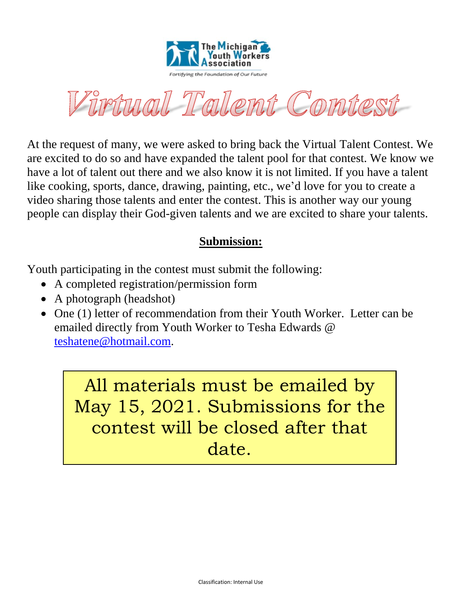

Virtual Talent Contest

At the request of many, we were asked to bring back the Virtual Talent Contest. We are excited to do so and have expanded the talent pool for that contest. We know we have a lot of talent out there and we also know it is not limited. If you have a talent like cooking, sports, dance, drawing, painting, etc., we'd love for you to create a video sharing those talents and enter the contest. This is another way our young people can display their God-given talents and we are excited to share your talents.

## **Submission:**

Youth participating in the contest must submit the following:

- A completed registration/permission form
- A photograph (headshot)
- One (1) letter of recommendation from their Youth Worker. Letter can be emailed directly from Youth Worker to Tesha Edwards @ [teshatene@hotmail.com.](mailto:teshatene@hotmail.com)

All materials must be emailed by May 15, 2021. Submissions for the contest will be closed after that date.